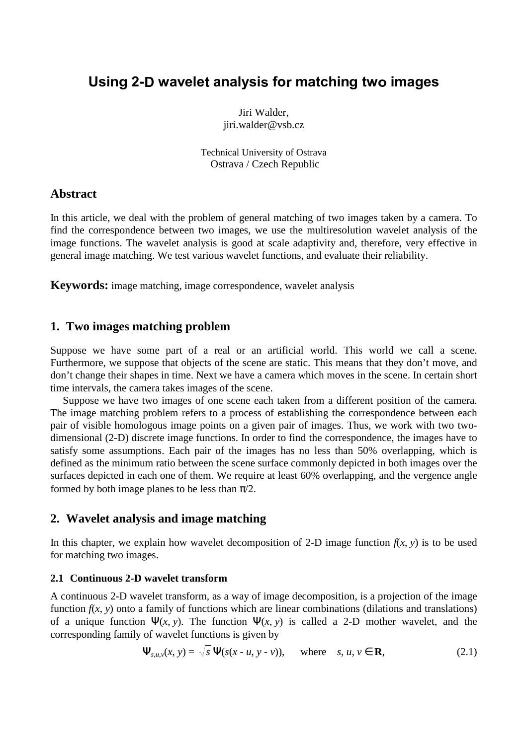# Using 2-D wavelet analysis for matching two images

Jiri Walder, jiri.walder@vsb.cz

Technical University of Ostrava Ostrava / Czech Republic

# **Abstract**

In this article, we deal with the problem of general matching of two images taken by a camera. To find the correspondence between two images, we use the multiresolution wavelet analysis of the image functions. The wavelet analysis is good at scale adaptivity and, therefore, very effective in general image matching. We test various wavelet functions, and evaluate their reliability.

**Keywords:** image matching, image correspondence, wavelet analysis

# **1. Two images matching problem**

Suppose we have some part of a real or an artificial world. This world we call a scene. Furthermore, we suppose that objects of the scene are static. This means that they don't move, and don't change their shapes in time. Next we have a camera which moves in the scene. In certain short time intervals, the camera takes images of the scene.

Suppose we have two images of one scene each taken from a different position of the camera. The image matching problem refers to a process of establishing the correspondence between each pair of visible homologous image points on a given pair of images. Thus, we work with two twodimensional (2-D) discrete image functions. In order to find the correspondence, the images have to satisfy some assumptions. Each pair of the images has no less than 50% overlapping, which is defined as the minimum ratio between the scene surface commonly depicted in both images over the surfaces depicted in each one of them. We require at least 60% overlapping, and the vergence angle formed by both image planes to be less than  $\pi/2$ .

# **2. Wavelet analysis and image matching**

In this chapter, we explain how wavelet decomposition of 2-D image function  $f(x, y)$  is to be used for matching two images.

### **2.1 Continuous 2-D wavelet transform**

A continuous 2-D wavelet transform, as a way of image decomposition, is a projection of the image function  $f(x, y)$  onto a family of functions which are linear combinations (dilations and translations) of a unique function  $\Psi(x, y)$ . The function  $\Psi(x, y)$  is called a 2-D mother wavelet, and the corresponding family of wavelet functions is given by

$$
\Psi_{s,u,v}(x, y) = \sqrt{s} \Psi(s(x - u, y - v)), \quad \text{where} \quad s, u, v \in \mathbf{R}, \tag{2.1}
$$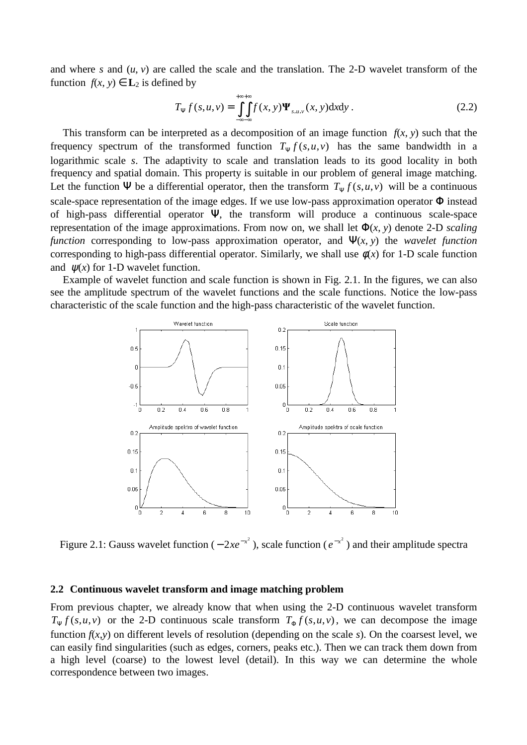and where *s* and (*u*, *v*) are called the scale and the translation. The 2-D wavelet transform of the function  $f(x, y) \in L_2$  is defined by

$$
T_{\Psi} f(s, u, v) = \iint_{-\infty}^{+\infty+} f(x, y) \Psi_{s, u, v}(x, y) dxdy.
$$
 (2.2)

This transform can be interpreted as a decomposition of an image function  $f(x, y)$  such that the frequency spectrum of the transformed function  $T_{\psi} f(s, u, v)$  has the same bandwidth in a logarithmic scale *s*. The adaptivity to scale and translation leads to its good locality in both frequency and spatial domain. This property is suitable in our problem of general image matching. Let the function  $\Psi$  be a differential operator, then the transform  $T_{\Psi} f(s, u, v)$  will be a continuous scale-space representation of the image edges. If we use low-pass approximation operator Φ instead of high-pass differential operator Ψ, the transform will produce a continuous scale-space representation of the image approximations. From now on, we shall let  $\Phi(x, y)$  denote 2-D *scaling function* corresponding to low-pass approximation operator, and  $\Psi(x, y)$  the *wavelet function* corresponding to high-pass differential operator. Similarly, we shall use  $\phi(x)$  for 1-D scale function and  $\psi(x)$  for 1-D wavelet function.

Example of wavelet function and scale function is shown in Fig. 2.1. In the figures, we can also see the amplitude spectrum of the wavelet functions and the scale functions. Notice the low-pass characteristic of the scale function and the high-pass characteristic of the wavelet function.



Figure 2.1: Gauss wavelet function  $(-2xe^{-x^2})$ , scale function  $(e^{-x^2})$  and their amplitude spectra

### **2.2 Continuous wavelet transform and image matching problem**

From previous chapter, we already know that when using the 2-D continuous wavelet transform  $T_{\Psi} f(s, u, v)$  or the 2-D continuous scale transform  $T_{\Phi} f(s, u, v)$ , we can decompose the image function  $f(x,y)$  on different levels of resolution (depending on the scale *s*). On the coarsest level, we can easily find singularities (such as edges, corners, peaks etc.). Then we can track them down from a high level (coarse) to the lowest level (detail). In this way we can determine the whole correspondence between two images.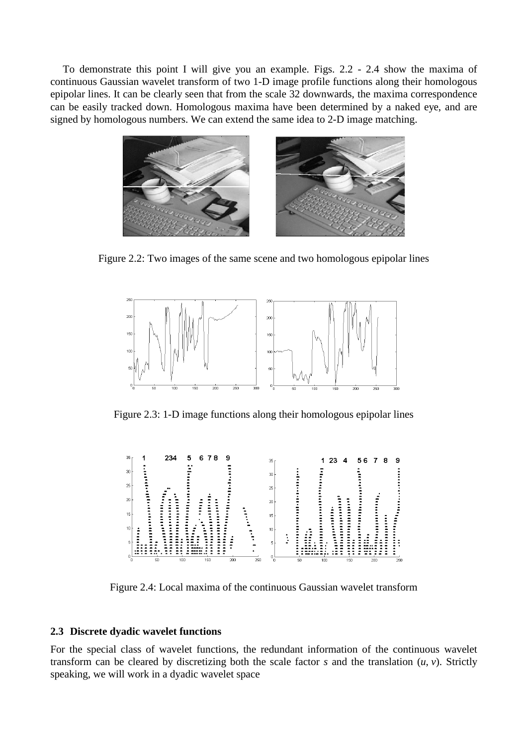To demonstrate this point I will give you an example. Figs. 2.2 - 2.4 show the maxima of continuous Gaussian wavelet transform of two 1-D image profile functions along their homologous epipolar lines. It can be clearly seen that from the scale 32 downwards, the maxima correspondence can be easily tracked down. Homologous maxima have been determined by a naked eye, and are signed by homologous numbers. We can extend the same idea to 2-D image matching.



Figure 2.2: Two images of the same scene and two homologous epipolar lines



Figure 2.3: 1-D image functions along their homologous epipolar lines



Figure 2.4: Local maxima of the continuous Gaussian wavelet transform

#### **2.3 Discrete dyadic wavelet functions**

For the special class of wavelet functions, the redundant information of the continuous wavelet transform can be cleared by discretizing both the scale factor  $s$  and the translation  $(u, v)$ . Strictly speaking, we will work in a dyadic wavelet space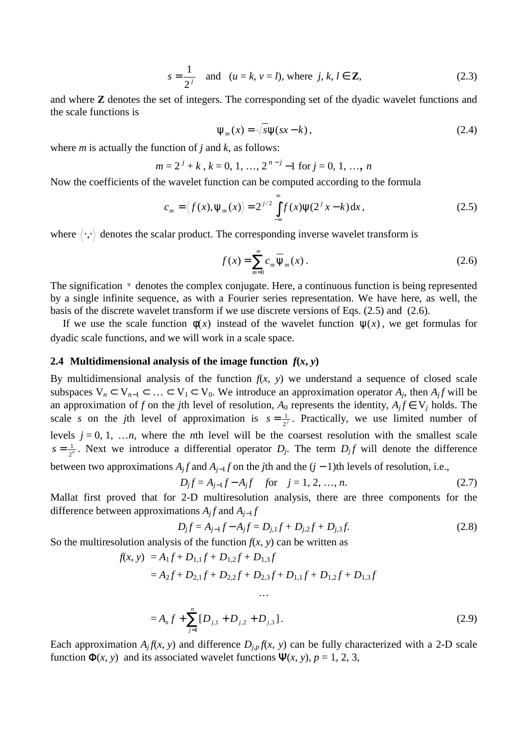$$
s = \frac{1}{2^{j}} \quad \text{and} \quad (u = k, v = l), \text{ where } j, k, l \in \mathbb{Z}, \tag{2.3}
$$

and where **Z** denotes the set of integers. The corresponding set of the dyadic wavelet functions and the scale functions is

$$
\Psi_m(x) = \sqrt{s}\Psi(sx - k), \qquad (2.4)
$$

where *m* is actually the function of *j* and *k*, as follows:

$$
m = 2j + k, k = 0, 1, ..., 2n-j - 1 for j = 0, 1, ..., n
$$

Now the coefficients of the wavelet function can be computed according to the formula

$$
c_m = \langle f(x), \psi_m(x) \rangle = 2^{j/2} \int_{-\infty}^{\infty} f(x) \psi(2^j x - k) dx, \qquad (2.5)
$$

where  $\langle \cdot, \cdot \rangle$  denotes the scalar product. The corresponding inverse wavelet transform is

$$
f(x) = \sum_{m=0}^{\infty} c_m \overline{\Psi}_m(x) .
$$
 (2.6)

The signification  $\overline{\cdot}$  denotes the complex conjugate. Here, a continuous function is being represented by a single infinite sequence, as with a Fourier series representation. We have here, as well, the basis of the discrete wavelet transform if we use discrete versions of Eqs. (2.5) and (2.6).

If we use the scale function  $\phi(x)$  instead of the wavelet function  $\psi(x)$ , we get formulas for dyadic scale functions, and we will work in a scale space.

#### **2.4 Multidimensional analysis of the image function**  $f(x, y)$

By multidimensional analysis of the function  $f(x, y)$  we understand a sequence of closed scale subspaces  $V_n \subset V_{n-1} \subset \ldots \subset V_1 \subset V_0$ . We introduce an approximation operator  $A_j$ , then  $A_j f$  will be an approximation of *f* on the *j*th level of resolution,  $A_0$  represents the identity,  $A_j f \in V_j$  holds. The scale *s* on the *j*th level of approximation is  $s = \frac{1}{2^j}$ . Practically, we use limited number of levels  $j = 0, 1, \ldots n$ , where the *n*th level will be the coarsest resolution with the smallest scale  $s = \frac{1}{2^n}$ . Next we introduce a differential operator *D<sub>j</sub>*. The term *D<sub>j</sub>f* will denote the difference between two approximations  $A_j f$  and  $A_{j-1} f$  on the *j*th and the  $(j-1)$ th levels of resolution, i.e.,

$$
D_j f = A_{j-1} f - A_j f \quad \text{for} \quad j = 1, 2, ..., n. \tag{2.7}
$$

Mallat first proved that for 2-D multiresolution analysis, there are three components for the difference between approximations  $A_i f$  and  $A_{i-1} f$ 

$$
D_j f = A_{j-1} f - A_j f = D_{j,1} f + D_{j,2} f + D_{j,3} f.
$$
\n(2.8)

So the multiresolution analysis of the function  $f(x, y)$  can be written as

$$
f(x, y) = A_1 f + D_{1,1} f + D_{1,2} f + D_{1,3} f
$$
  
= A<sub>2</sub>f + D<sub>2,1</sub>f + D<sub>2,2</sub>f + D<sub>2,3</sub>f + D<sub>1,1</sub>f + D<sub>1,2</sub>f + D<sub>1,3</sub>f

$$
=A_n f + \sum_{j=1}^n [D_{j,1} + D_{j,2} + D_{j,3}].
$$
\n(2.9)

Each approximation  $A_j f(x, y)$  and difference  $D_{j,p} f(x, y)$  can be fully characterized with a 2-D scale function  $\Phi(x, y)$  and its associated wavelet functions  $\Psi(x, y)$ ,  $p = 1, 2, 3$ ,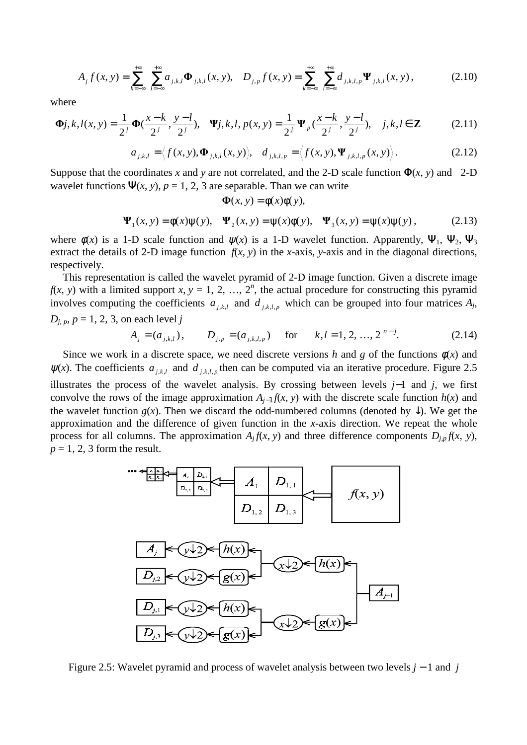$$
A_j f(x, y) = \sum_{k=-\infty}^{+\infty} \sum_{l=-\infty}^{+\infty} a_{j,k,l} \Phi_{j,k,l}(x, y), \quad D_{j,p} f(x, y) = \sum_{k=-\infty}^{+\infty} \sum_{l=-\infty}^{+\infty} d_{j,k,l,p} \Psi_{j,k,l}(x, y), \tag{2.10}
$$

where

$$
\Phi j, k, l(x, y) = \frac{1}{2^j} \Phi(\frac{x - k}{2^j}, \frac{y - l}{2^j}), \quad \Psi j, k, l, p(x, y) = \frac{1}{2^j} \Psi_p(\frac{x - k}{2^j}, \frac{y - l}{2^j}), \quad j, k, l \in \mathbb{Z}
$$
 (2.11)

$$
a_{j,k,l} = \langle f(x, y), \mathbf{\Phi}_{j,k,l}(x, y) \rangle, \quad d_{j,k,l,p} = \langle f(x, y), \mathbf{\Psi}_{j,k,l,p}(x, y) \rangle.
$$
 (2.12)

Suppose that the coordinates *x* and *y* are not correlated, and the 2-D scale function  $\Phi(x, y)$  and 2-D wavelet functions  $\Psi(x, y)$ ,  $p = 1, 2, 3$  are separable. Than we can write

$$
\Phi(x, y) = \phi(x)\phi(y),
$$
  

$$
\Psi_1(x, y) = \phi(x)\psi(y), \quad \Psi_2(x, y) = \psi(x)\phi(y), \quad \Psi_3(x, y) = \psi(x)\psi(y),
$$
 (2.13)

where  $\phi(x)$  is a 1-D scale function and  $\psi(x)$  is a 1-D wavelet function. Apparently,  $\Psi_1$ ,  $\Psi_2$ ,  $\Psi_3$ extract the details of 2-D image function  $f(x, y)$  in the *x*-axis, *y*-axis and in the diagonal directions, respectively.

This representation is called the wavelet pyramid of 2-D image function. Given a discrete image  $f(x, y)$  with a limited support *x*,  $y = 1, 2, ..., 2<sup>n</sup>$ , the actual procedure for constructing this pyramid involves computing the coefficients  $a_{j,k,l}$  and  $d_{j,k,l,p}$  which can be grouped into four matrices  $A_j$ ,  $D$ <sup>*j*</sup>, *p*, *p* = 1, 2, 3, on each level *j* 

$$
A_j = (a_{j,k,l}), \qquad D_{j,p} = (a_{j,k,l,p}) \quad \text{for} \quad k, l = 1, 2, ..., 2^{n-j}.
$$
 (2.14)

Since we work in a discrete space, we need discrete versions *h* and *g* of the functions  $\phi(x)$  and  $\psi(x)$ . The coefficients  $a_{j,k,l}$  and  $d_{j,k,l,p}$  then can be computed via an iterative procedure. Figure 2.5 illustrates the process of the wavelet analysis. By crossing between levels *j*−1 and *j*, we first convolve the rows of the image approximation  $A_{i-1} f(x, y)$  with the discrete scale function  $h(x)$  and the wavelet function  $g(x)$ . Then we discard the odd-numbered columns (denoted by  $\downarrow$ ). We get the approximation and the difference of given function in the *x*-axis direction. We repeat the whole process for all columns. The approximation  $A_j f(x, y)$  and three difference components  $D_{j,p} f(x, y)$ ,  $p = 1, 2, 3$  form the result.



Figure 2.5: Wavelet pyramid and process of wavelet analysis between two levels *j* − 1 and *j*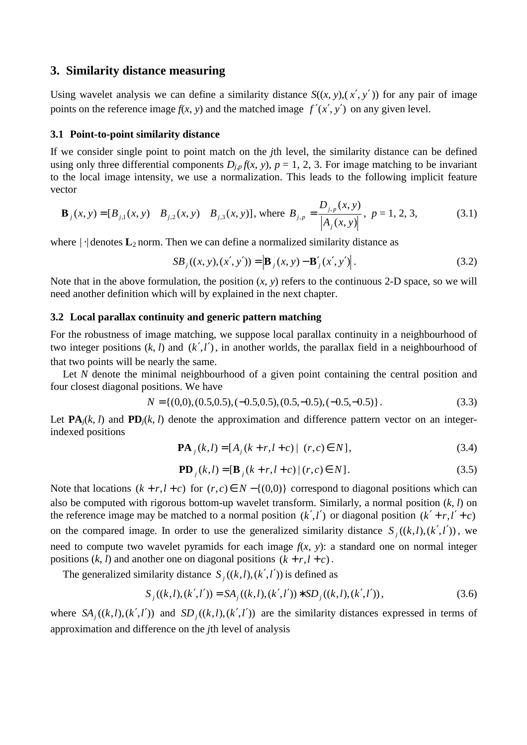### **3. Similarity distance measuring**

Using wavelet analysis we can define a similarity distance  $S((x, y), (x', y'))$  for any pair of image points on the reference image  $f(x, y)$  and the matched image  $f'(x', y')$  on any given level.

#### **3.1 Point-to-point similarity distance**

If we consider single point to point match on the *j*th level, the similarity distance can be defined using only three differential components  $D_{i,p}f(x, y)$ ,  $p = 1, 2, 3$ . For image matching to be invariant to the local image intensity, we use a normalization. This leads to the following implicit feature vector

$$
\mathbf{B}_{j}(x, y) = [B_{j,1}(x, y) \quad B_{j,2}(x, y) \quad B_{j,3}(x, y)], \text{ where } B_{j,p} = \frac{D_{j,p}(x, y)}{|A_{j}(x, y)|}, \ p = 1, 2, 3,
$$
 (3.1)

where  $|\cdot|$  denotes  $\mathbf{L}_2$  norm. Then we can define a normalized similarity distance as

$$
SB_j((x, y), (x', y')) = \left| \mathbf{B}_j(x, y) - \mathbf{B}'_j(x', y') \right|.
$$
 (3.2)

Note that in the above formulation, the position  $(x, y)$  refers to the continuous 2-D space, so we will need another definition which will by explained in the next chapter.

#### **3.2 Local parallax continuity and generic pattern matching**

For the robustness of image matching, we suppose local parallax continuity in a neighbourhood of two integer positions  $(k, l)$  and  $(k', l')$ , in another worlds, the parallax field in a neighbourhood of that two points will be nearly the same.

Let *N* denote the minimal neighbourhood of a given point containing the central position and four closest diagonal positions. We have

$$
N = \{(0,0), (0.5, 0.5), (-0.5, 0.5), (0.5, -0.5), (-0.5, -0.5)\}.
$$
 (3.3)

Let  $\mathbf{PA}_i(k, l)$  and  $\mathbf{PD}_i(k, l)$  denote the approximation and difference pattern vector on an integerindexed positions

$$
\mathbf{PA}_{j}(k,l) = [A_{j}(k+r,l+c) | (r,c) \in N], \tag{3.4}
$$

$$
\mathbf{PD}_{i}(k,l) = [\mathbf{B}_{i}(k+r, l+c) | (r, c) \in N].
$$
\n(3.5)

Note that locations  $(k + r, l + c)$  for  $(r, c) \in N - \{(0, 0)\}\)$  correspond to diagonal positions which can also be computed with rigorous bottom-up wavelet transform. Similarly, a normal position (*k*, *l*) on the reference image may be matched to a normal position  $(k',l')$  or diagonal position  $(k'+r,l'+c)$ on the compared image. In order to use the generalized similarity distance  $S_j((k,l),(k',l'))$ , we need to compute two wavelet pyramids for each image  $f(x, y)$ : a standard one on normal integer positions  $(k, l)$  and another one on diagonal positions  $(k + r, l + c)$ .

The generalized similarity distance  $S_j((k,l),(k',l'))$  is defined as

$$
S_j((k,l),(k',l')) = SA_j((k,l),(k',l')) * SD_j((k,l),(k',l')), \qquad (3.6)
$$

where  $SA_j((k,l),(k',l'))$  and  $SD_j((k,l),(k',l'))$  are the similarity distances expressed in terms of approximation and difference on the *j*th level of analysis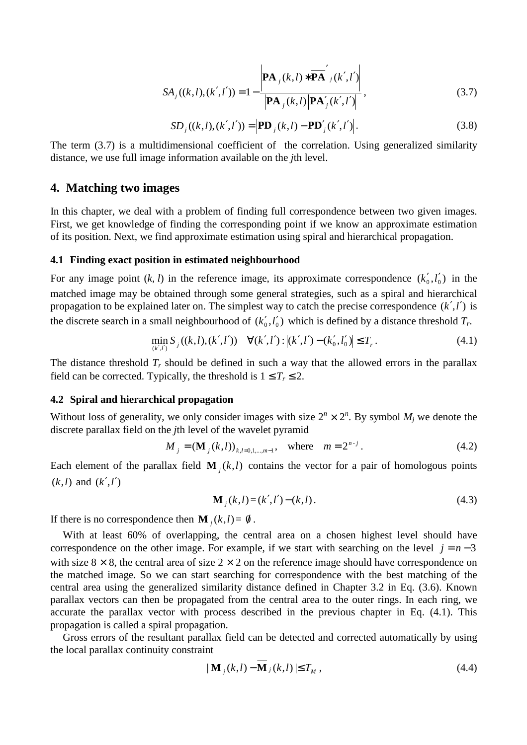$$
SA_j((k,l),(k',l')) = 1 - \frac{\left| \mathbf{PA}_j(k,l) * \overline{\mathbf{PA}}'_j(k',l') \right|}{\left| \mathbf{PA}_j(k,l) \right| \left| \mathbf{PA}'_j(k',l') \right|},
$$
\n(3.7)

$$
SD_j((k, l), (k', l')) = |PD_j(k, l) - PD'_j(k', l')|.
$$
\n(3.8)

The term (3.7) is a multidimensional coefficient of the correlation. Using generalized similarity distance, we use full image information available on the *j*th level.

### **4. Matching two images**

In this chapter, we deal with a problem of finding full correspondence between two given images. First, we get knowledge of finding the corresponding point if we know an approximate estimation of its position. Next, we find approximate estimation using spiral and hierarchical propagation.

#### **4.1 Finding exact position in estimated neighbourhood**

For any image point  $(k, l)$  in the reference image, its approximate correspondence  $(k'_0, l'_0)$  in the matched image may be obtained through some general strategies, such as a spiral and hierarchical propagation to be explained later on. The simplest way to catch the precise correspondence (*k*′,*l*′) is the discrete search in a small neighbourhood of  $(k'_0, l'_0)$  which is defined by a distance threshold  $T_r$ .

$$
\min_{(k',l')} S_j((k,l),(k',l')) \quad \forall (k',l'): |(k',l') - (k'_0,l'_0)| \le T_r. \tag{4.1}
$$

The distance threshold  $T_r$  should be defined in such a way that the allowed errors in the parallax field can be corrected. Typically, the threshold is  $1 \leq T_r \leq 2$ .

### **4.2 Spiral and hierarchical propagation**

Without loss of generality, we only consider images with size  $2^n \times 2^n$ . By symbol  $M_j$  we denote the discrete parallax field on the *j*th level of the wavelet pyramid

$$
M_{j} = (\mathbf{M}_{j}(k,l))_{k,l=0,1,\dots,m-1}, \text{ where } m = 2^{n-j}. \tag{4.2}
$$

Each element of the parallax field  $\mathbf{M}$ <sub>*j*</sub>( $k$ , $l$ ) contains the vector for a pair of homologous points  $(k, l)$  and  $(k', l')$ 

$$
\mathbf{M}_{j}(k,l) = (k',l') - (k,l). \tag{4.3}
$$

If there is no correspondence then  $\mathbf{M}_i(k,l) = \emptyset$ .

With at least 60% of overlapping, the central area on a chosen highest level should have correspondence on the other image. For example, if we start with searching on the level  $j = n - 3$ with size  $8 \times 8$ , the central area of size  $2 \times 2$  on the reference image should have correspondence on the matched image. So we can start searching for correspondence with the best matching of the central area using the generalized similarity distance defined in Chapter 3.2 in Eq. (3.6). Known parallax vectors can then be propagated from the central area to the outer rings. In each ring, we accurate the parallax vector with process described in the previous chapter in Eq. (4.1). This propagation is called a spiral propagation.

Gross errors of the resultant parallax field can be detected and corrected automatically by using the local parallax continuity constraint

$$
|\mathbf{M}_{j}(k,l)-\mathbf{M}_{j}(k,l)| \leq T_{M}, \qquad (4.4)
$$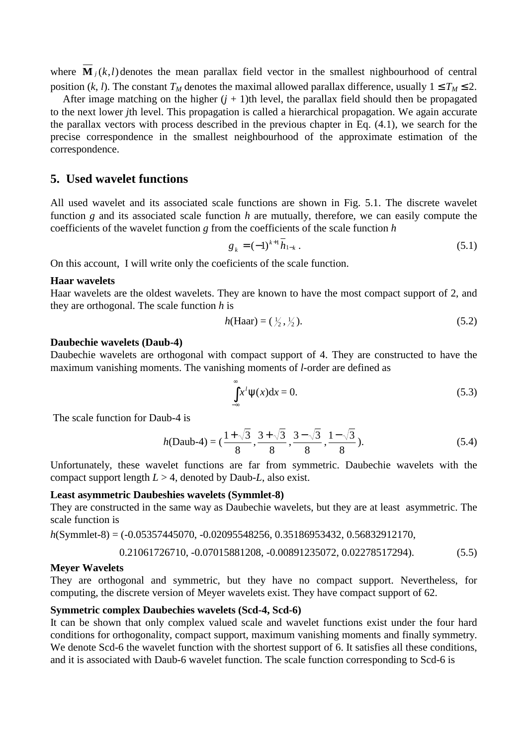where  $\overline{\mathbf{M}}_j(k,l)$  denotes the mean parallax field vector in the smallest nighbourhood of central position (*k*, *l*). The constant  $T_M$  denotes the maximal allowed parallax difference, usually  $1 \le T_M \le 2$ .

After image matching on the higher  $(j + 1)$ th level, the parallax field should then be propagated to the next lower *j*th level. This propagation is called a hierarchical propagation. We again accurate the parallax vectors with process described in the previous chapter in Eq. (4.1), we search for the precise correspondence in the smallest neighbourhood of the approximate estimation of the correspondence.

## **5. Used wavelet functions**

All used wavelet and its associated scale functions are shown in Fig. 5.1. The discrete wavelet function *g* and its associated scale function *h* are mutually, therefore, we can easily compute the coefficients of the wavelet function *g* from the coefficients of the scale function *h*

$$
g_k = (-1)^{k+1} \overline{h}_{1-k} \,. \tag{5.1}
$$

On this account, I will write only the coeficients of the scale function.

### **Haar wavelets**

Haar wavelets are the oldest wavelets. They are known to have the most compact support of 2, and they are orthogonal. The scale function *h* is

$$
h(\text{Haar}) = (\frac{1}{2}, \frac{1}{2}).\tag{5.2}
$$

#### **Daubechie wavelets (Daub-4)**

Daubechie wavelets are orthogonal with compact support of 4. They are constructed to have the maximum vanishing moments. The vanishing moments of *l*-order are defined as

$$
\int_{-\infty}^{\infty} x^l \psi(x) dx = 0.
$$
 (5.3)

The scale function for Daub-4 is

$$
h(\text{Daub-4}) = (\frac{1+\sqrt{3}}{8}, \frac{3+\sqrt{3}}{8}, \frac{3-\sqrt{3}}{8}, \frac{1-\sqrt{3}}{8}).
$$
\n(5.4)

Unfortunately, these wavelet functions are far from symmetric. Daubechie wavelets with the compact support length  $L > 4$ , denoted by Daub-L, also exist.

### **Least asymmetric Daubeshies wavelets (Symmlet-8)**

They are constructed in the same way as Daubechie wavelets, but they are at least asymmetric. The scale function is

*h*(Symmlet-8) = (-0.05357445070, -0.02095548256, 0.35186953432, 0.56832912170,

$$
0.21061726710, -0.07015881208, -0.00891235072, 0.02278517294). \tag{5.5}
$$

### **Meyer Wavelets**

They are orthogonal and symmetric, but they have no compact support. Nevertheless, for computing, the discrete version of Meyer wavelets exist. They have compact support of 62.

### **Symmetric complex Daubechies wavelets (Scd-4, Scd-6)**

It can be shown that only complex valued scale and wavelet functions exist under the four hard conditions for orthogonality, compact support, maximum vanishing moments and finally symmetry. We denote Scd-6 the wavelet function with the shortest support of 6. It satisfies all these conditions, and it is associated with Daub-6 wavelet function. The scale function corresponding to Scd-6 is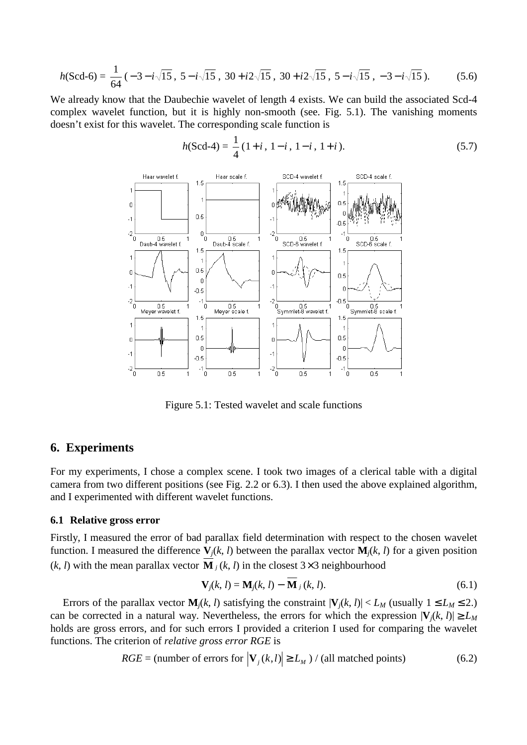$$
h(\text{Scd-6}) = \frac{1}{64} \left( -3 - i\sqrt{15}, \ 5 - i\sqrt{15}, \ 30 + i2\sqrt{15}, \ 30 + i2\sqrt{15}, \ 5 - i\sqrt{15}, \ -3 - i\sqrt{15} \right). \tag{5.6}
$$

We already know that the Daubechie wavelet of length 4 exists. We can build the associated Scd-4 complex wavelet function, but it is highly non-smooth (see. Fig. 5.1). The vanishing moments doesn't exist for this wavelet. The corresponding scale function is

$$
h(\text{Scd-4}) = \frac{1}{4} (1+i, 1-i, 1-i, 1+i). \tag{5.7}
$$



Figure 5.1: Tested wavelet and scale functions

### **6. Experiments**

For my experiments, I chose a complex scene. I took two images of a clerical table with a digital camera from two different positions (see Fig. 2.2 or 6.3). I then used the above explained algorithm, and I experimented with different wavelet functions.

### **6.1 Relative gross error**

Firstly, I measured the error of bad parallax field determination with respect to the chosen wavelet function. I measured the difference  $V_i(k, l)$  between the parallax vector  $M_i(k, l)$  for a given position  $(k, l)$  with the mean parallax vector **M**  $<sub>i</sub>(k, l)$  in the closest 3×3 neighbourhood</sub>

$$
\mathbf{V}_j(k, l) = \mathbf{M}_j(k, l) - \mathbf{M}_j(k, l). \tag{6.1}
$$

Errors of the parallax vector  $\mathbf{M}_i(k, l)$  satisfying the constraint  $|\mathbf{V}_i(k, l)| < L_M$  (usually  $1 \le L_M \le 2$ .) can be corrected in a natural way. Nevertheless, the errors for which the expression  $|\mathbf{V}_i(k, l)| \ge L_M$ holds are gross errors, and for such errors I provided a criterion I used for comparing the wavelet functions. The criterion of *relative gross error RGE* is

$$
RGE = \text{(number of errors for } |\mathbf{V}_j(k,l)| \ge L_M) / \text{(all matched points)} \tag{6.2}
$$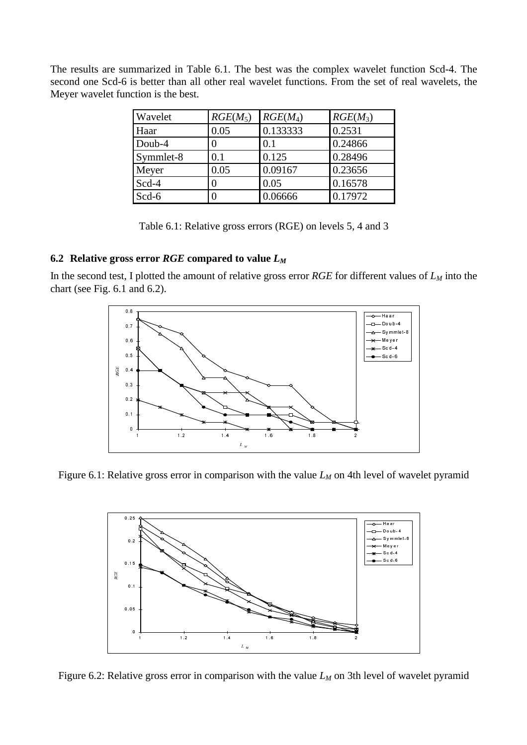The results are summarized in Table 6.1. The best was the complex wavelet function Scd-4. The second one Scd-6 is better than all other real wavelet functions. From the set of real wavelets, the Meyer wavelet function is the best.

| Wavelet   | $RGE(M_5)$ | $RGE(M_4)$ | $RGE(M_3)$ |
|-----------|------------|------------|------------|
| Haar      | 0.05       | 0.133333   | 0.2531     |
| Doub-4    |            | 0.1        | 0.24866    |
| Symmlet-8 | 0.1        | 0.125      | 0.28496    |
| Meyer     | 0.05       | 0.09167    | 0.23656    |
| Scd-4     |            | 0.05       | 0.16578    |
| Scd-6     |            | 0.06666    | 0.17972    |

Table 6.1: Relative gross errors (RGE) on levels 5, 4 and 3

### **6.2 Relative gross error** *RGE* **compared to value** *L<sup>M</sup>*

In the second test, I plotted the amount of relative gross error *RGE* for different values of *L<sup>M</sup>* into the chart (see Fig. 6.1 and 6.2).



Figure 6.1: Relative gross error in comparison with the value  $L_M$  on 4th level of wavelet pyramid



Figure 6.2: Relative gross error in comparison with the value  $L_M$  on 3th level of wavelet pyramid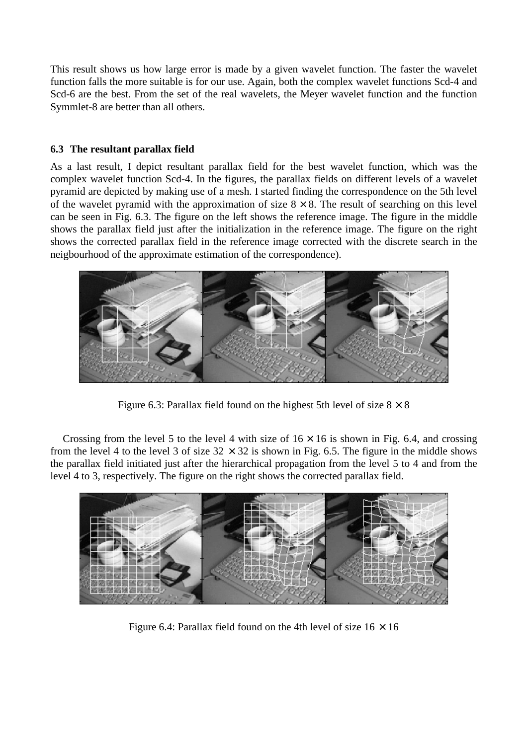This result shows us how large error is made by a given wavelet function. The faster the wavelet function falls the more suitable is for our use. Again, both the complex wavelet functions Scd-4 and Scd-6 are the best. From the set of the real wavelets, the Meyer wavelet function and the function Symmlet-8 are better than all others.

### **6.3 The resultant parallax field**

As a last result, I depict resultant parallax field for the best wavelet function, which was the complex wavelet function Scd-4. In the figures, the parallax fields on different levels of a wavelet pyramid are depicted by making use of a mesh. I started finding the correspondence on the 5th level of the wavelet pyramid with the approximation of size  $8 \times 8$ . The result of searching on this level can be seen in Fig. 6.3. The figure on the left shows the reference image. The figure in the middle shows the parallax field just after the initialization in the reference image. The figure on the right shows the corrected parallax field in the reference image corrected with the discrete search in the neigbourhood of the approximate estimation of the correspondence).



Figure 6.3: Parallax field found on the highest 5th level of size  $8 \times 8$ 

Crossing from the level 5 to the level 4 with size of  $16 \times 16$  is shown in Fig. 6.4, and crossing from the level 4 to the level 3 of size  $32 \times 32$  is shown in Fig. 6.5. The figure in the middle shows the parallax field initiated just after the hierarchical propagation from the level 5 to 4 and from the level 4 to 3, respectively. The figure on the right shows the corrected parallax field.



Figure 6.4: Parallax field found on the 4th level of size  $16 \times 16$